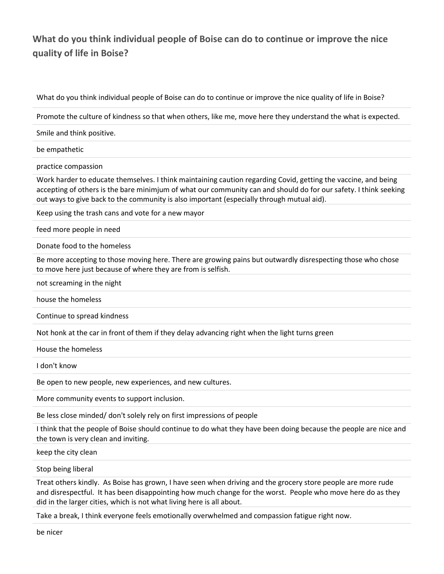## **What do you think individual people of Boise can do to continue or improve the nice quality of life in Boise?**

What do you think individual people of Boise can do to continue or improve the nice quality of life in Boise?

Promote the culture of kindness so that when others, like me, move here they understand the what is expected.

Smile and think positive.

be empathetic

practice compassion

Work harder to educate themselves. I think maintaining caution regarding Covid, getting the vaccine, and being accepting of others is the bare minimjum of what our community can and should do for our safety. I think seeking out ways to give back to the community is also important (especially through mutual aid).

Keep using the trash cans and vote for a new mayor

feed more people in need

Donate food to the homeless

Be more accepting to those moving here. There are growing pains but outwardly disrespecting those who chose to move here just because of where they are from is selfish.

not screaming in the night

house the homeless

Continue to spread kindness

Not honk at the car in front of them if they delay advancing right when the light turns green

House the homeless

I don't know

Be open to new people, new experiences, and new cultures.

More community events to support inclusion.

Be less close minded/ don't solely rely on first impressions of people

I think that the people of Boise should continue to do what they have been doing because the people are nice and the town is very clean and inviting.

keep the city clean

Stop being liberal

Treat others kindly. As Boise has grown, I have seen when driving and the grocery store people are more rude and disrespectful. It has been disappointing how much change for the worst. People who move here do as they did in the larger cities, which is not what living here is all about.

Take a break, I think everyone feels emotionally overwhelmed and compassion fatigue right now.

be nicer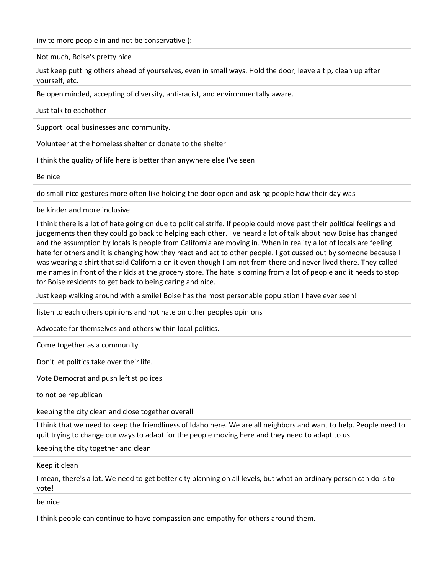invite more people in and not be conservative (:

Not much, Boise's pretty nice

Just keep putting others ahead of yourselves, even in small ways. Hold the door, leave a tip, clean up after yourself, etc.

Be open minded, accepting of diversity, anti-racist, and environmentally aware.

Just talk to eachother

Support local businesses and community.

Volunteer at the homeless shelter or donate to the shelter

I think the quality of life here is better than anywhere else I've seen

Be nice

do small nice gestures more often like holding the door open and asking people how their day was

be kinder and more inclusive

I think there is a lot of hate going on due to political strife. If people could move past their political feelings and judgements then they could go back to helping each other. I've heard a lot of talk about how Boise has changed and the assumption by locals is people from California are moving in. When in reality a lot of locals are feeling hate for others and it is changing how they react and act to other people. I got cussed out by someone because I was wearing a shirt that said California on it even though I am not from there and never lived there. They called me names in front of their kids at the grocery store. The hate is coming from a lot of people and it needs to stop for Boise residents to get back to being caring and nice.

Just keep walking around with a smile! Boise has the most personable population I have ever seen!

listen to each others opinions and not hate on other peoples opinions

Advocate for themselves and others within local politics.

Come together as a community

Don't let politics take over their life.

Vote Democrat and push leftist polices

to not be republican

keeping the city clean and close together overall

I think that we need to keep the friendliness of Idaho here. We are all neighbors and want to help. People need to quit trying to change our ways to adapt for the people moving here and they need to adapt to us.

keeping the city together and clean

Keep it clean

I mean, there's a lot. We need to get better city planning on all levels, but what an ordinary person can do is to vote!

be nice

I think people can continue to have compassion and empathy for others around them.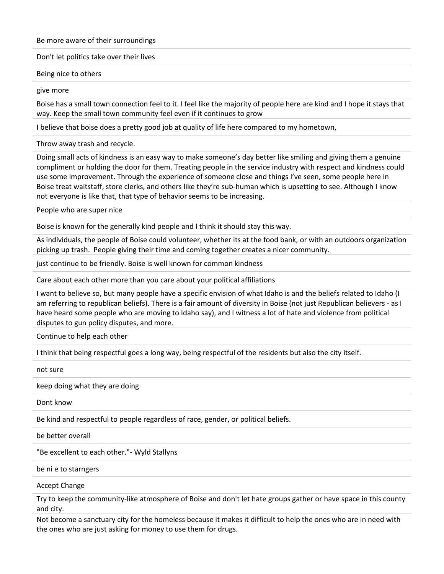## Be more aware of their surroundings

Don't let politics take over their lives

## Being nice to others

## give more

Boise has a small town connection feel to it. I feel like the majority of people here are kind and I hope it stays that way. Keep the small town community feel even if it continues to grow

I believe that boise does a pretty good job at quality of life here compared to my hometown,

Throw away trash and recycle.

Doing small acts of kindness is an easy way to make someone's day better like smiling and giving them a genuine compliment or holding the door for them. Treating people in the service industry with respect and kindness could use some improvement. Through the experience of someone close and things I've seen, some people here in Boise treat waitstaff, store clerks, and others like they're sub-human which is upsetting to see. Although I know not everyone is like that, that type of behavior seems to be increasing.

People who are super nice

Boise is known for the generally kind people and I think it should stay this way.

As individuals, the people of Boise could volunteer, whether its at the food bank, or with an outdoors organization picking up trash. People giving their time and coming together creates a nicer community.

just continue to be friendly. Boise is well known for common kindness

Care about each other more than you care about your political affiliations

I want to believe so, but many people have a specific envision of what Idaho is and the beliefs related to Idaho (I am referring to republican beliefs). There is a fair amount of diversity in Boise (not just Republican believers - as I have heard some people who are moving to Idaho say), and I witness a lot of hate and violence from political disputes to gun policy disputes, and more.

Continue to help each other

I think that being respectful goes a long way, being respectful of the residents but also the city itself.

not sure

keep doing what they are doing

Dont know

Be kind and respectful to people regardless of race, gender, or political beliefs.

be better overall

"Be excellent to each other."- Wyld Stallyns

be ni e to starngers

Accept Change

Try to keep the community-like atmosphere of Boise and don't let hate groups gather or have space in this county and city.

Not become a sanctuary city for the homeless because it makes it difficult to help the ones who are in need with the ones who are just asking for money to use them for drugs.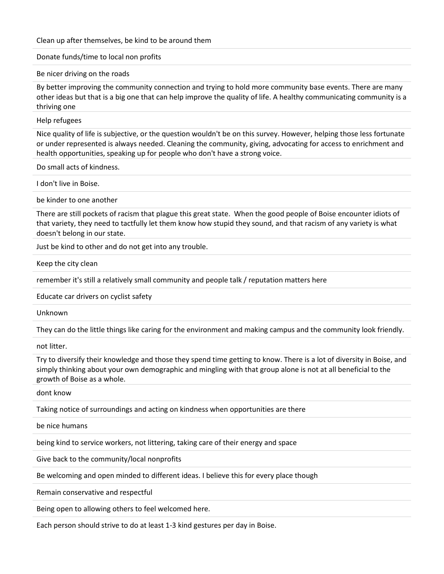Clean up after themselves, be kind to be around them

Donate funds/time to local non profits

Be nicer driving on the roads

By better improving the community connection and trying to hold more community base events. There are many other ideas but that is a big one that can help improve the quality of life. A healthy communicating community is a thriving one

Help refugees

Nice quality of life is subjective, or the question wouldn't be on this survey. However, helping those less fortunate or under represented is always needed. Cleaning the community, giving, advocating for access to enrichment and health opportunities, speaking up for people who don't have a strong voice.

Do small acts of kindness.

I don't live in Boise.

be kinder to one another

There are still pockets of racism that plague this great state. When the good people of Boise encounter idiots of that variety, they need to tactfully let them know how stupid they sound, and that racism of any variety is what doesn't belong in our state.

Just be kind to other and do not get into any trouble.

Keep the city clean

remember it's still a relatively small community and people talk / reputation matters here

Educate car drivers on cyclist safety

Unknown

They can do the little things like caring for the environment and making campus and the community look friendly.

not litter.

Try to diversify their knowledge and those they spend time getting to know. There is a lot of diversity in Boise, and simply thinking about your own demographic and mingling with that group alone is not at all beneficial to the growth of Boise as a whole.

dont know

Taking notice of surroundings and acting on kindness when opportunities are there

be nice humans

being kind to service workers, not littering, taking care of their energy and space

Give back to the community/local nonprofits

Be welcoming and open minded to different ideas. I believe this for every place though

Remain conservative and respectful

Being open to allowing others to feel welcomed here.

Each person should strive to do at least 1-3 kind gestures per day in Boise.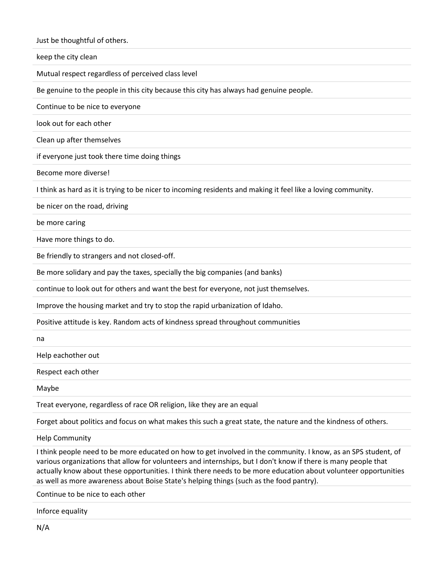Just be thoughtful of others.

keep the city clean

Mutual respect regardless of perceived class level

Be genuine to the people in this city because this city has always had genuine people.

Continue to be nice to everyone

look out for each other

Clean up after themselves

if everyone just took there time doing things

Become more diverse!

I think as hard as it is trying to be nicer to incoming residents and making it feel like a loving community.

be nicer on the road, driving

be more caring

Have more things to do.

Be friendly to strangers and not closed-off.

Be more solidary and pay the taxes, specially the big companies (and banks)

continue to look out for others and want the best for everyone, not just themselves.

Improve the housing market and try to stop the rapid urbanization of Idaho.

Positive attitude is key. Random acts of kindness spread throughout communities

na

Help eachother out

Respect each other

Maybe

Treat everyone, regardless of race OR religion, like they are an equal

Forget about politics and focus on what makes this such a great state, the nature and the kindness of others.

Help Community

I think people need to be more educated on how to get involved in the community. I know, as an SPS student, of various organizations that allow for volunteers and internships, but I don't know if there is many people that actually know about these opportunities. I think there needs to be more education about volunteer opportunities as well as more awareness about Boise State's helping things (such as the food pantry).

Continue to be nice to each other

Inforce equality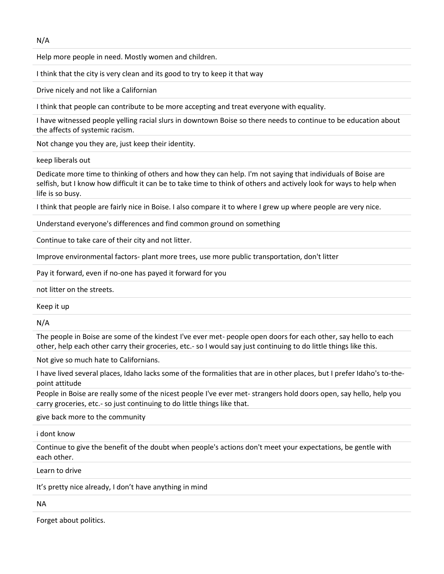N/A

Help more people in need. Mostly women and children.

I think that the city is very clean and its good to try to keep it that way

Drive nicely and not like a Californian

I think that people can contribute to be more accepting and treat everyone with equality.

I have witnessed people yelling racial slurs in downtown Boise so there needs to continue to be education about the affects of systemic racism.

Not change you they are, just keep their identity.

keep liberals out

Dedicate more time to thinking of others and how they can help. I'm not saying that individuals of Boise are selfish, but I know how difficult it can be to take time to think of others and actively look for ways to help when life is so busy.

I think that people are fairly nice in Boise. I also compare it to where I grew up where people are very nice.

Understand everyone's differences and find common ground on something

Continue to take care of their city and not litter.

Improve environmental factors- plant more trees, use more public transportation, don't litter

Pay it forward, even if no-one has payed it forward for you

not litter on the streets.

Keep it up

N/A

The people in Boise are some of the kindest I've ever met- people open doors for each other, say hello to each other, help each other carry their groceries, etc.- so I would say just continuing to do little things like this.

Not give so much hate to Californians.

I have lived several places, Idaho lacks some of the formalities that are in other places, but I prefer Idaho's to-thepoint attitude

People in Boise are really some of the nicest people I've ever met- strangers hold doors open, say hello, help you carry groceries, etc.- so just continuing to do little things like that.

give back more to the community

i dont know

Continue to give the benefit of the doubt when people's actions don't meet your expectations, be gentle with each other.

Learn to drive

It's pretty nice already, I don't have anything in mind

NA

Forget about politics.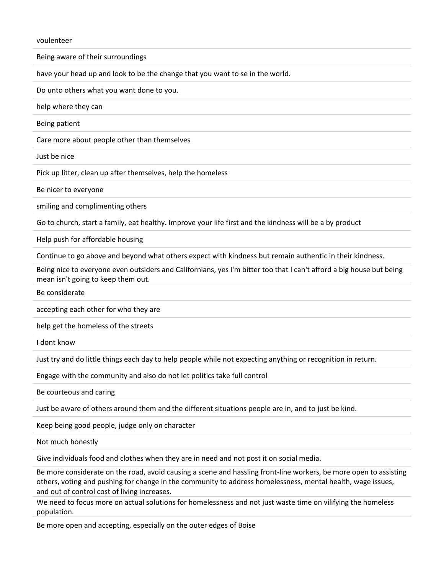voulenteer

Being aware of their surroundings

have your head up and look to be the change that you want to se in the world.

Do unto others what you want done to you.

help where they can

Being patient

Care more about people other than themselves

Just be nice

Pick up litter, clean up after themselves, help the homeless

Be nicer to everyone

smiling and complimenting others

Go to church, start a family, eat healthy. Improve your life first and the kindness will be a by product

Help push for affordable housing

Continue to go above and beyond what others expect with kindness but remain authentic in their kindness.

Being nice to everyone even outsiders and Californians, yes I'm bitter too that I can't afford a big house but being mean isn't going to keep them out.

Be considerate

accepting each other for who they are

help get the homeless of the streets

I dont know

Just try and do little things each day to help people while not expecting anything or recognition in return.

Engage with the community and also do not let politics take full control

Be courteous and caring

Just be aware of others around them and the different situations people are in, and to just be kind.

Keep being good people, judge only on character

Not much honestly

Give individuals food and clothes when they are in need and not post it on social media.

Be more considerate on the road, avoid causing a scene and hassling front-line workers, be more open to assisting others, voting and pushing for change in the community to address homelessness, mental health, wage issues, and out of control cost of living increases.

We need to focus more on actual solutions for homelessness and not just waste time on vilifying the homeless population.

Be more open and accepting, especially on the outer edges of Boise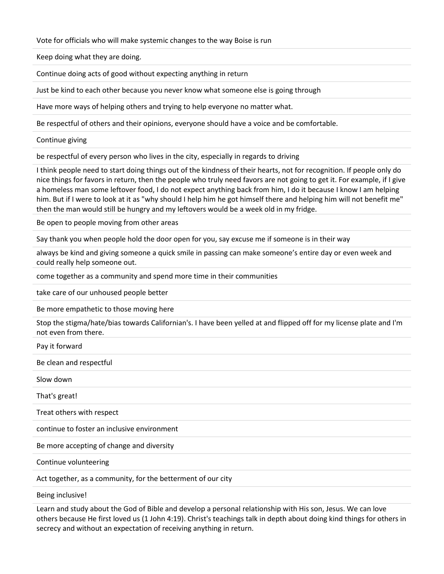Vote for officials who will make systemic changes to the way Boise is run

Keep doing what they are doing.

Continue doing acts of good without expecting anything in return

Just be kind to each other because you never know what someone else is going through

Have more ways of helping others and trying to help everyone no matter what.

Be respectful of others and their opinions, everyone should have a voice and be comfortable.

Continue giving

be respectful of every person who lives in the city, especially in regards to driving

I think people need to start doing things out of the kindness of their hearts, not for recognition. If people only do nice things for favors in return, then the people who truly need favors are not going to get it. For example, if I give a homeless man some leftover food, I do not expect anything back from him, I do it because I know I am helping him. But if I were to look at it as "why should I help him he got himself there and helping him will not benefit me" then the man would still be hungry and my leftovers would be a week old in my fridge.

Be open to people moving from other areas

Say thank you when people hold the door open for you, say excuse me if someone is in their way

always be kind and giving someone a quick smile in passing can make someone's entire day or even week and could really help someone out.

come together as a community and spend more time in their communities

take care of our unhoused people better

Be more empathetic to those moving here

Stop the stigma/hate/bias towards Californian's. I have been yelled at and flipped off for my license plate and I'm not even from there.

Pay it forward

Be clean and respectful

Slow down

That's great!

Treat others with respect

continue to foster an inclusive environment

Be more accepting of change and diversity

Continue volunteering

Act together, as a community, for the betterment of our city

Being inclusive!

Learn and study about the God of Bible and develop a personal relationship with His son, Jesus. We can love others because He first loved us (1 John 4:19). Christ's teachings talk in depth about doing kind things for others in secrecy and without an expectation of receiving anything in return.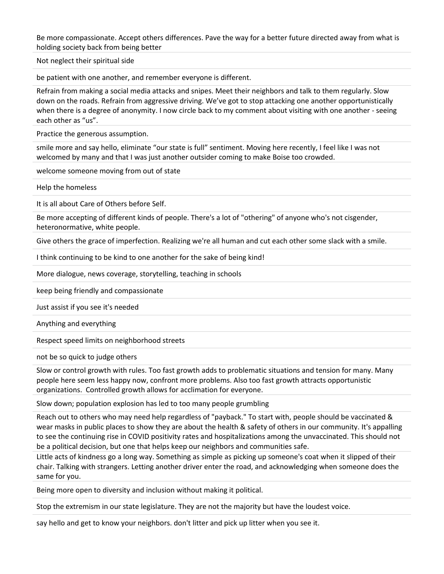Be more compassionate. Accept others differences. Pave the way for a better future directed away from what is holding society back from being better

Not neglect their spiritual side

be patient with one another, and remember everyone is different.

Refrain from making a social media attacks and snipes. Meet their neighbors and talk to them regularly. Slow down on the roads. Refrain from aggressive driving. We've got to stop attacking one another opportunistically when there is a degree of anonymity. I now circle back to my comment about visiting with one another - seeing each other as "us".

Practice the generous assumption.

smile more and say hello, eliminate "our state is full" sentiment. Moving here recently, I feel like I was not welcomed by many and that I was just another outsider coming to make Boise too crowded.

welcome someone moving from out of state

Help the homeless

It is all about Care of Others before Self.

Be more accepting of different kinds of people. There's a lot of "othering" of anyone who's not cisgender, heteronormative, white people.

Give others the grace of imperfection. Realizing we're all human and cut each other some slack with a smile.

I think continuing to be kind to one another for the sake of being kind!

More dialogue, news coverage, storytelling, teaching in schools

keep being friendly and compassionate

Just assist if you see it's needed

Anything and everything

Respect speed limits on neighborhood streets

not be so quick to judge others

Slow or control growth with rules. Too fast growth adds to problematic situations and tension for many. Many people here seem less happy now, confront more problems. Also too fast growth attracts opportunistic organizations. Controlled growth allows for acclimation for everyone.

Slow down; population explosion has led to too many people grumbling

Reach out to others who may need help regardless of "payback." To start with, people should be vaccinated & wear masks in public places to show they are about the health & safety of others in our community. It's appalling to see the continuing rise in COVID positivity rates and hospitalizations among the unvaccinated. This should not be a political decision, but one that helps keep our neighbors and communities safe.

Little acts of kindness go a long way. Something as simple as picking up someone's coat when it slipped of their chair. Talking with strangers. Letting another driver enter the road, and acknowledging when someone does the same for you.

Being more open to diversity and inclusion without making it political.

Stop the extremism in our state legislature. They are not the majority but have the loudest voice.

say hello and get to know your neighbors. don't litter and pick up litter when you see it.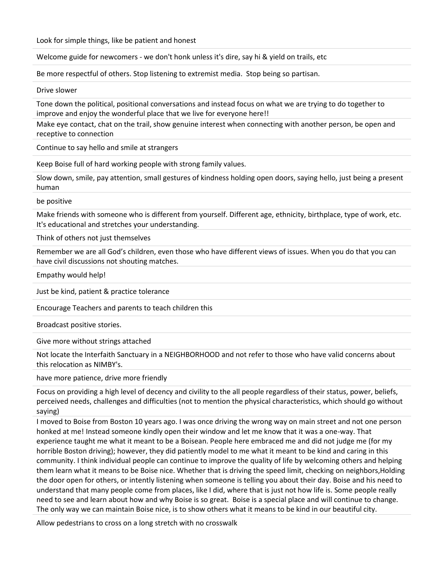Look for simple things, like be patient and honest

Welcome guide for newcomers - we don't honk unless it's dire, say hi & yield on trails, etc

Be more respectful of others. Stop listening to extremist media. Stop being so partisan.

Drive slower

Tone down the political, positional conversations and instead focus on what we are trying to do together to improve and enjoy the wonderful place that we live for everyone here!!

Make eye contact, chat on the trail, show genuine interest when connecting with another person, be open and receptive to connection

Continue to say hello and smile at strangers

Keep Boise full of hard working people with strong family values.

Slow down, smile, pay attention, small gestures of kindness holding open doors, saying hello, just being a present human

be positive

Make friends with someone who is different from yourself. Different age, ethnicity, birthplace, type of work, etc. It's educational and stretches your understanding.

Think of others not just themselves

Remember we are all God's children, even those who have different views of issues. When you do that you can have civil discussions not shouting matches.

Empathy would help!

Just be kind, patient & practice tolerance

Encourage Teachers and parents to teach children this

Broadcast positive stories.

Give more without strings attached

Not locate the Interfaith Sanctuary in a NEIGHBORHOOD and not refer to those who have valid concerns about this relocation as NIMBY's.

have more patience, drive more friendly

Focus on providing a high level of decency and civility to the all people regardless of their status, power, beliefs, perceived needs, challenges and difficulties (not to mention the physical characteristics, which should go without saying)

I moved to Boise from Boston 10 years ago. I was once driving the wrong way on main street and not one person honked at me! Instead someone kindly open their window and let me know that it was a one-way. That experience taught me what it meant to be a Boisean. People here embraced me and did not judge me (for my horrible Boston driving); however, they did patiently model to me what it meant to be kind and caring in this community. I think individual people can continue to improve the quality of life by welcoming others and helping them learn what it means to be Boise nice. Whether that is driving the speed limit, checking on neighbors,Holding the door open for others, or intently listening when someone is telling you about their day. Boise and his need to understand that many people come from places, like I did, where that is just not how life is. Some people really need to see and learn about how and why Boise is so great. Boise is a special place and will continue to change. The only way we can maintain Boise nice, is to show others what it means to be kind in our beautiful city.

Allow pedestrians to cross on a long stretch with no crosswalk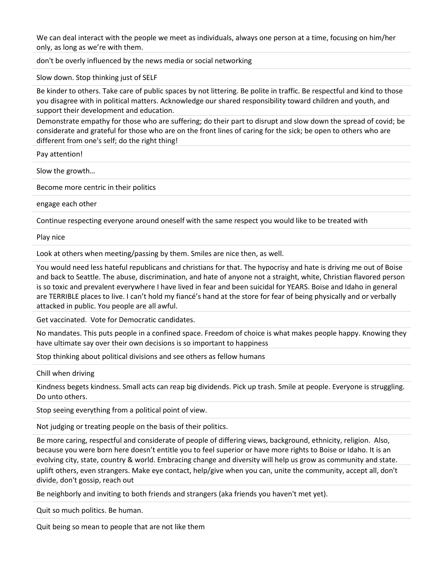We can deal interact with the people we meet as individuals, always one person at a time, focusing on him/her only, as long as we're with them.

don't be overly influenced by the news media or social networking

Slow down. Stop thinking just of SELF

Be kinder to others. Take care of public spaces by not littering. Be polite in traffic. Be respectful and kind to those you disagree with in political matters. Acknowledge our shared responsibility toward children and youth, and support their development and education.

Demonstrate empathy for those who are suffering; do their part to disrupt and slow down the spread of covid; be considerate and grateful for those who are on the front lines of caring for the sick; be open to others who are different from one's self; do the right thing!

Pay attention!

Slow the growth…

Become more centric in their politics

engage each other

Continue respecting everyone around oneself with the same respect you would like to be treated with

Play nice

Look at others when meeting/passing by them. Smiles are nice then, as well.

You would need less hateful republicans and christians for that. The hypocrisy and hate is driving me out of Boise and back to Seattle. The abuse, discrimination, and hate of anyone not a straight, white, Christian flavored person is so toxic and prevalent everywhere I have lived in fear and been suicidal for YEARS. Boise and Idaho in general are TERRIBLE places to live. I can't hold my fiancé's hand at the store for fear of being physically and or verbally attacked in public. You people are all awful.

Get vaccinated. Vote for Democratic candidates.

No mandates. This puts people in a confined space. Freedom of choice is what makes people happy. Knowing they have ultimate say over their own decisions is so important to happiness

Stop thinking about political divisions and see others as fellow humans

Chill when driving

Kindness begets kindness. Small acts can reap big dividends. Pick up trash. Smile at people. Everyone is struggling. Do unto others.

Stop seeing everything from a political point of view.

Not judging or treating people on the basis of their politics.

Be more caring, respectful and considerate of people of differing views, background, ethnicity, religion. Also, because you were born here doesn't entitle you to feel superior or have more rights to Boise or Idaho. It is an evolving city, state, country & world. Embracing change and diversity will help us grow as community and state. uplift others, even strangers. Make eye contact, help/give when you can, unite the community, accept all, don't divide, don't gossip, reach out

Be neighborly and inviting to both friends and strangers (aka friends you haven't met yet).

Quit so much politics. Be human.

Quit being so mean to people that are not like them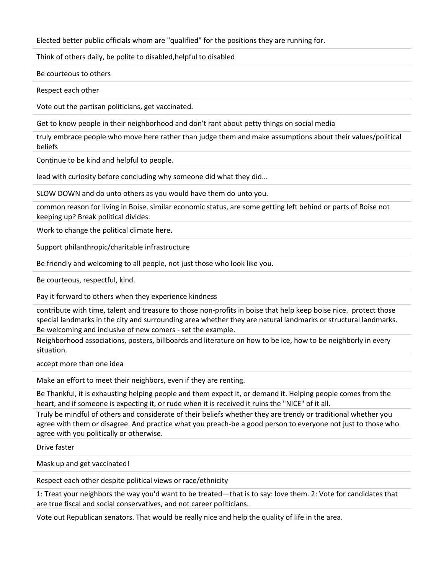Elected better public officials whom are "qualified" for the positions they are running for.

Think of others daily, be polite to disabled,helpful to disabled

Be courteous to others

Respect each other

Vote out the partisan politicians, get vaccinated.

Get to know people in their neighborhood and don't rant about petty things on social media

truly embrace people who move here rather than judge them and make assumptions about their values/political beliefs

Continue to be kind and helpful to people.

lead with curiosity before concluding why someone did what they did...

SLOW DOWN and do unto others as you would have them do unto you.

common reason for living in Boise. similar economic status, are some getting left behind or parts of Boise not keeping up? Break political divides.

Work to change the political climate here.

Support philanthropic/charitable infrastructure

Be friendly and welcoming to all people, not just those who look like you.

Be courteous, respectful, kind.

Pay it forward to others when they experience kindness

contribute with time, talent and treasure to those non-profits in boise that help keep boise nice. protect those special landmarks in the city and surrounding area whether they are natural landmarks or structural landmarks. Be welcoming and inclusive of new comers - set the example.

Neighborhood associations, posters, billboards and literature on how to be ice, how to be neighborly in every situation.

accept more than one idea

Make an effort to meet their neighbors, even if they are renting.

Be Thankful, it is exhausting helping people and them expect it, or demand it. Helping people comes from the heart, and if someone is expecting it, or rude when it is received it ruins the "NICE" of it all.

Truly be mindful of others and considerate of their beliefs whether they are trendy or traditional whether you agree with them or disagree. And practice what you preach-be a good person to everyone not just to those who agree with you politically or otherwise.

Drive faster

Mask up and get vaccinated!

Respect each other despite political views or race/ethnicity

1: Treat your neighbors the way you'd want to be treated—that is to say: love them. 2: Vote for candidates that are true fiscal and social conservatives, and not career politicians.

Vote out Republican senators. That would be really nice and help the quality of life in the area.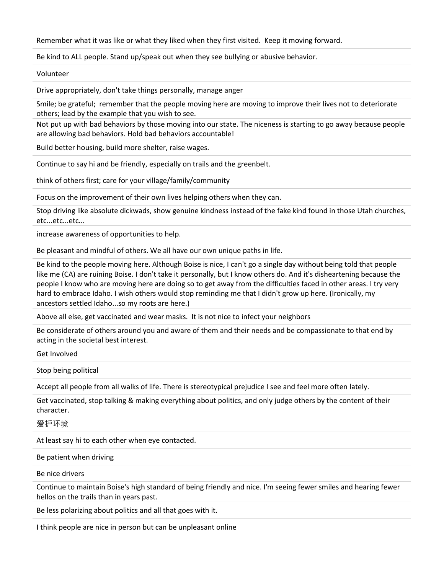Remember what it was like or what they liked when they first visited. Keep it moving forward.

Be kind to ALL people. Stand up/speak out when they see bullying or abusive behavior.

Volunteer

Drive appropriately, don't take things personally, manage anger

Smile; be grateful; remember that the people moving here are moving to improve their lives not to deteriorate others; lead by the example that you wish to see.

Not put up with bad behaviors by those moving into our state. The niceness is starting to go away because people are allowing bad behaviors. Hold bad behaviors accountable!

Build better housing, build more shelter, raise wages.

Continue to say hi and be friendly, especially on trails and the greenbelt.

think of others first; care for your village/family/community

Focus on the improvement of their own lives helping others when they can.

Stop driving like absolute dickwads, show genuine kindness instead of the fake kind found in those Utah churches, etc...etc...etc...

increase awareness of opportunities to help.

Be pleasant and mindful of others. We all have our own unique paths in life.

Be kind to the people moving here. Although Boise is nice, I can't go a single day without being told that people like me (CA) are ruining Boise. I don't take it personally, but I know others do. And it's disheartening because the people I know who are moving here are doing so to get away from the difficulties faced in other areas. I try very hard to embrace Idaho. I wish others would stop reminding me that I didn't grow up here. (Ironically, my ancestors settled Idaho...so my roots are here.)

Above all else, get vaccinated and wear masks. It is not nice to infect your neighbors

Be considerate of others around you and aware of them and their needs and be compassionate to that end by acting in the societal best interest.

Get Involved

Stop being political

Accept all people from all walks of life. There is stereotypical prejudice I see and feel more often lately.

Get vaccinated, stop talking & making everything about politics, and only judge others by the content of their character.

爱护环境

At least say hi to each other when eye contacted.

Be patient when driving

Be nice drivers

Continue to maintain Boise's high standard of being friendly and nice. I'm seeing fewer smiles and hearing fewer hellos on the trails than in years past.

Be less polarizing about politics and all that goes with it.

I think people are nice in person but can be unpleasant online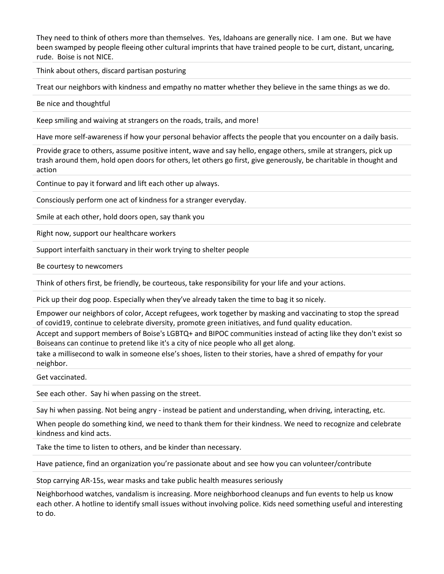They need to think of others more than themselves. Yes, Idahoans are generally nice. I am one. But we have been swamped by people fleeing other cultural imprints that have trained people to be curt, distant, uncaring, rude. Boise is not NICE.

Think about others, discard partisan posturing

Treat our neighbors with kindness and empathy no matter whether they believe in the same things as we do.

Be nice and thoughtful

Keep smiling and waiving at strangers on the roads, trails, and more!

Have more self-awareness if how your personal behavior affects the people that you encounter on a daily basis.

Provide grace to others, assume positive intent, wave and say hello, engage others, smile at strangers, pick up trash around them, hold open doors for others, let others go first, give generously, be charitable in thought and action

Continue to pay it forward and lift each other up always.

Consciously perform one act of kindness for a stranger everyday.

Smile at each other, hold doors open, say thank you

Right now, support our healthcare workers

Support interfaith sanctuary in their work trying to shelter people

Be courtesy to newcomers

Think of others first, be friendly, be courteous, take responsibility for your life and your actions.

Pick up their dog poop. Especially when they've already taken the time to bag it so nicely.

Empower our neighbors of color, Accept refugees, work together by masking and vaccinating to stop the spread of covid19, continue to celebrate diversity, promote green initiatives, and fund quality education.

Accept and support members of Boise's LGBTQ+ and BIPOC communities instead of acting like they don't exist so Boiseans can continue to pretend like it's a city of nice people who all get along.

take a millisecond to walk in someone else's shoes, listen to their stories, have a shred of empathy for your neighbor.

Get vaccinated.

See each other. Say hi when passing on the street.

Say hi when passing. Not being angry - instead be patient and understanding, when driving, interacting, etc.

When people do something kind, we need to thank them for their kindness. We need to recognize and celebrate kindness and kind acts.

Take the time to listen to others, and be kinder than necessary.

Have patience, find an organization you're passionate about and see how you can volunteer/contribute

Stop carrying AR-15s, wear masks and take public health measures seriously

Neighborhood watches, vandalism is increasing. More neighborhood cleanups and fun events to help us know each other. A hotline to identify small issues without involving police. Kids need something useful and interesting to do.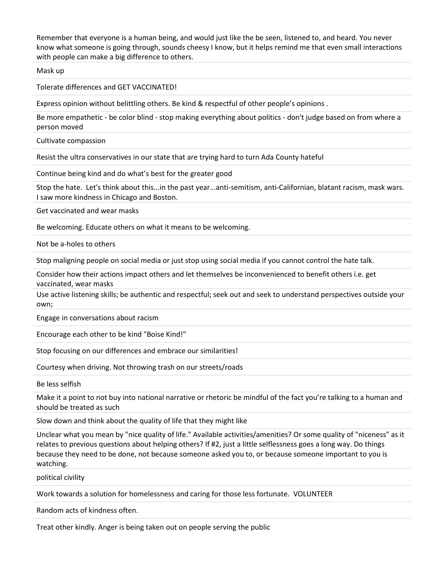Remember that everyone is a human being, and would just like the be seen, listened to, and heard. You never know what someone is going through, sounds cheesy I know, but it helps remind me that even small interactions with people can make a big difference to others.

Mask up

Tolerate differences and GET VACCINATED!

Express opinion without belittling others. Be kind & respectful of other people's opinions .

Be more empathetic - be color blind - stop making everything about politics - don't judge based on from where a person moved

Cultivate compassion

Resist the ultra conservatives in our state that are trying hard to turn Ada County hateful

Continue being kind and do what's best for the greater good

Stop the hate. Let's think about this...in the past year...anti-semitism, anti-Californian, blatant racism, mask wars. I saw more kindness in Chicago and Boston.

Get vaccinated and wear masks

Be welcoming. Educate others on what it means to be welcoming.

Not be a-holes to others

Stop maligning people on social media or just stop using social media if you cannot control the hate talk.

Consider how their actions impact others and let themselves be inconvenienced to benefit others i.e. get vaccinated, wear masks

Use active listening skills; be authentic and respectful; seek out and seek to understand perspectives outside your own;

Engage in conversations about racism

Encourage each other to be kind "Boise Kind!"

Stop focusing on our differences and embrace our similarities!

Courtesy when driving. Not throwing trash on our streets/roads

Be less selfish

Make it a point to not buy into national narrative or rhetoric be mindful of the fact you're talking to a human and should be treated as such

Slow down and think about the quality of life that they might like

Unclear what you mean by "nice quality of life." Available activities/amenities? Or some quality of "niceness" as it relates to previous questions about helping others? If #2, just a little selflessness goes a long way. Do things because they need to be done, not because someone asked you to, or because someone important to you is watching.

political civility

Work towards a solution for homelessness and caring for those less fortunate. VOLUNTEER

Random acts of kindness often.

Treat other kindly. Anger is being taken out on people serving the public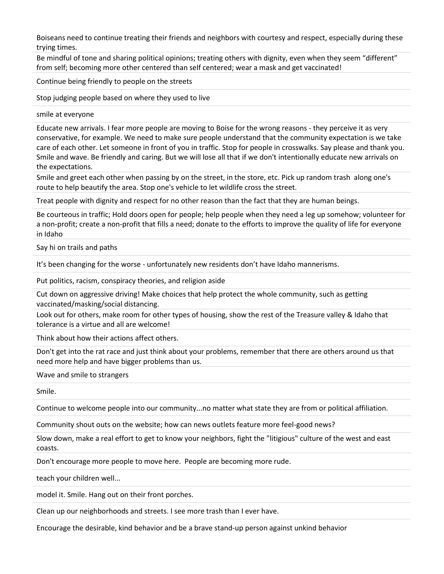Boiseans need to continue treating their friends and neighbors with courtesy and respect, especially during these trying times.

Be mindful of tone and sharing political opinions; treating others with dignity, even when they seem "different" from self; becoming more other centered than self centered; wear a mask and get vaccinated!

Continue being friendly to people on the streets

Stop judging people based on where they used to live

smile at everyone

Educate new arrivals. I fear more people are moving to Boise for the wrong reasons - they perceive it as very conservative, for example. We need to make sure people understand that the community expectation is we take care of each other. Let someone in front of you in traffic. Stop for people in crosswalks. Say please and thank you. Smile and wave. Be friendly and caring. But we will lose all that if we don't intentionally educate new arrivals on the expectations.

Smile and greet each other when passing by on the street, in the store, etc. Pick up random trash along one's route to help beautify the area. Stop one's vehicle to let wildlife cross the street.

Treat people with dignity and respect for no other reason than the fact that they are human beings.

Be courteous in traffic; Hold doors open for people; help people when they need a leg up somehow; volunteer for a non-profit; create a non-profit that fills a need; donate to the efforts to improve the quality of life for everyone in Idaho

Say hi on trails and paths

It's been changing for the worse - unfortunately new residents don't have Idaho mannerisms.

Put politics, racism, conspiracy theories, and religion aside

Cut down on aggressive driving! Make choices that help protect the whole community, such as getting vaccinated/masking/social distancing.

Look out for others, make room for other types of housing, show the rest of the Treasure valley & Idaho that tolerance is a virtue and all are welcome!

Think about how their actions affect others.

Don't get into the rat race and just think about your problems, remember that there are others around us that need more help and have bigger problems than us.

Wave and smile to strangers

Smile.

Continue to welcome people into our community...no matter what state they are from or political affiliation.

Community shout outs on the website; how can news outlets feature more feel-good news?

Slow down, make a real effort to get to know your neighbors, fight the "litigious" culture of the west and east coasts.

Don't encourage more people to move here. People are becoming more rude.

teach your children well...

model it. Smile. Hang out on their front porches.

Clean up our neighborhoods and streets. I see more trash than I ever have.

Encourage the desirable, kind behavior and be a brave stand-up person against unkind behavior